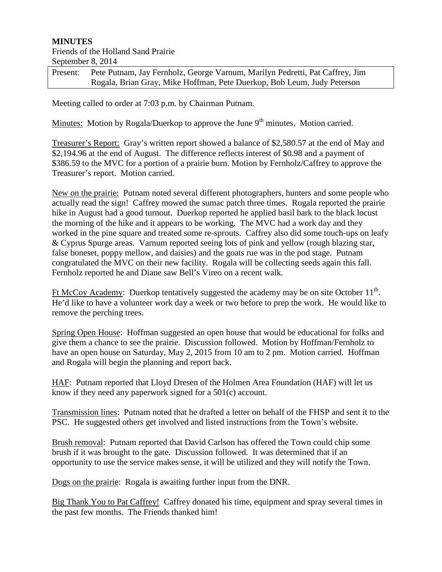## **MINUTES**

## Friends of the Holland Sand Prairie September 8, 2014

| Present: | Pete Putnam, Jay Fernholz, George Varnum, Marilyn Pedretti, Pat Caffrey, Jim |
|----------|------------------------------------------------------------------------------|
|          | Rogala, Brian Gray, Mike Hoffman, Pete Duerkop, Bob Leum, Judy Peterson      |

Meeting called to order at 7:03 p.m. by Chairman Putnam.

Minutes: Motion by Rogala/Duerkop to approve the June  $9<sup>th</sup>$  minutes. Motion carried.

Treasurer's Report: Gray's written report showed a balance of \$2,580.57 at the end of May and \$2,194.96 at the end of August. The difference reflects interest of \$0.98 and a payment of \$386.59 to the MVC for a portion of a prairie burn. Motion by Fernholz/Caffrey to approve the Treasurer's report. Motion carried.

New on the prairie: Putnam noted several different photographers, hunters and some people who actually read the sign! Caffrey mowed the sumac patch three times. Rogala reported the prairie hike in August had a good turnout. Duerkop reported he applied basil bark to the black locust the morning of the hike and it appears to be working. The MVC had a work day and they worked in the pine square and treated some re-sprouts. Caffrey also did some touch-ups on leafy & Cyprus Spurge areas. Varnum reported seeing lots of pink and yellow (rough blazing star, false boneset, poppy mellow, and daisies) and the goats rue was in the pod stage. Putnam congratulated the MVC on their new facility. Rogala will be collecting seeds again this fall. Fernholz reported he and Diane saw Bell's Vireo on a recent walk.

Ft McCoy Academy: Duerkop tentatively suggested the academy may be on site October  $11<sup>th</sup>$ . He'd like to have a volunteer work day a week or two before to prep the work. He would like to remove the perching trees.

Spring Open House: Hoffman suggested an open house that would be educational for folks and give them a chance to see the prairie. Discussion followed. Motion by Hoffman/Fernholz to have an open house on Saturday, May 2, 2015 from 10 am to 2 pm. Motion carried. Hoffman and Rogala will begin the planning and report back.

HAF: Putnam reported that Lloyd Dresen of the Holmen Area Foundation (HAF) will let us know if they need any paperwork signed for a 501(c) account.

Transmission lines: Putnam noted that he drafted a letter on behalf of the FHSP and sent it to the PSC. He suggested others get involved and listed instructions from the Town's website.

Brush removal: Putnam reported that David Carlson has offered the Town could chip some brush if it was brought to the gate. Discussion followed. It was determined that if an opportunity to use the service makes sense, it will be utilized and they will notify the Town.

Dogs on the prairie: Rogala is awaiting further input from the DNR.

Big Thank You to Pat Caffrey! Caffrey donated his time, equipment and spray several times in the past few months. The Friends thanked him!